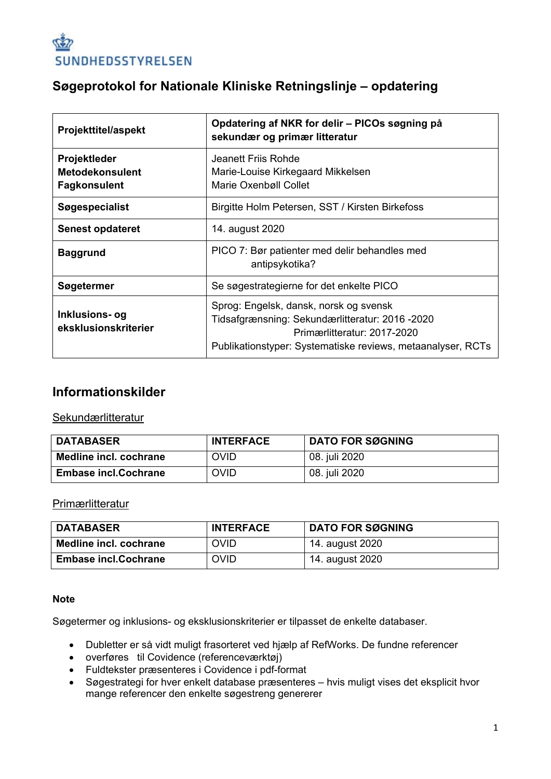

### **Søgeprotokol for Nationale Kliniske Retningslinje – opdatering**

| <b>Projekttitel/aspekt</b>                                           | Opdatering af NKR for delir - PICOs søgning på<br>sekundær og primær litteratur                                                                                                         |
|----------------------------------------------------------------------|-----------------------------------------------------------------------------------------------------------------------------------------------------------------------------------------|
| <b>Projektleder</b><br><b>Metodekonsulent</b><br><b>Fagkonsulent</b> | Jeanett Friis Rohde<br>Marie-Louise Kirkegaard Mikkelsen<br>Marie Oxenbøll Collet                                                                                                       |
| <b>Søgespecialist</b>                                                | Birgitte Holm Petersen, SST / Kirsten Birkefoss                                                                                                                                         |
| <b>Senest opdateret</b>                                              | 14. august 2020                                                                                                                                                                         |
| <b>Baggrund</b>                                                      | PICO 7: Bør patienter med delir behandles med<br>antipsykotika?                                                                                                                         |
| Søgetermer                                                           | Se søgestrategierne for det enkelte PICO                                                                                                                                                |
| Inklusions- og<br>eksklusionskriterier                               | Sprog: Engelsk, dansk, norsk og svensk<br>Tidsafgrænsning: Sekundærlitteratur: 2016 -2020<br>Primærlitteratur: 2017-2020<br>Publikationstyper: Systematiske reviews, metaanalyser, RCTs |

### **Informationskilder**

#### **Sekundærlitteratur**

| <b>DATABASER</b>            | <b>INTERFACE</b> | <b>DATO FOR SØGNING</b> |
|-----------------------------|------------------|-------------------------|
| Medline incl. cochrane      | <b>OVID</b>      | 08. juli 2020           |
| <b>Embase incl.Cochrane</b> | <b>OVID</b>      | 08. juli 2020           |

#### **Primærlitteratur**

| <b>DATABASER</b>            | <b>INTERFACE</b> | <b>DATO FOR SØGNING</b> |
|-----------------------------|------------------|-------------------------|
| Medline incl. cochrane      | <b>OVID</b>      | 14. august 2020         |
| <b>Embase incl.Cochrane</b> | <b>OVID</b>      | 14. august 2020         |

#### **Note**

Søgetermer og inklusions- og eksklusionskriterier er tilpasset de enkelte databaser.

- Dubletter er så vidt muligt frasorteret ved hjælp af RefWorks. De fundne referencer
- overføres til Covidence (referenceværktøj)
- Fuldtekster præsenteres i Covidence i pdf-format
- Søgestrategi for hver enkelt database præsenteres hvis muligt vises det eksplicit hvor mange referencer den enkelte søgestreng genererer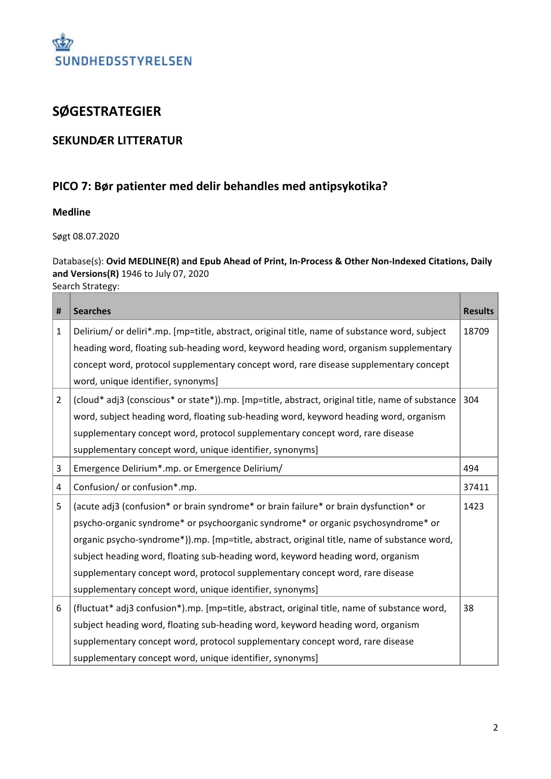

## **SØGESTRATEGIER**

#### **SEKUNDÆR LITTERATUR**

#### **PICO 7: Bør patienter med delir behandles med antipsykotika?**

#### **Medline**

Søgt 08.07.2020

#### Database(s): **Ovid MEDLINE(R) and Epub Ahead of Print, In-Process & Other Non-Indexed Citations, Daily and Versions(R)** 1946 to July 07, 2020

Search Strategy:

| #              | <b>Searches</b>                                                                                 | <b>Results</b> |
|----------------|-------------------------------------------------------------------------------------------------|----------------|
| 1              | Delirium/ or deliri*.mp. [mp=title, abstract, original title, name of substance word, subject   | 18709          |
|                | heading word, floating sub-heading word, keyword heading word, organism supplementary           |                |
|                | concept word, protocol supplementary concept word, rare disease supplementary concept           |                |
|                | word, unique identifier, synonyms]                                                              |                |
| $\overline{2}$ | (cloud* adj3 (conscious* or state*)).mp. [mp=title, abstract, original title, name of substance | 304            |
|                | word, subject heading word, floating sub-heading word, keyword heading word, organism           |                |
|                | supplementary concept word, protocol supplementary concept word, rare disease                   |                |
|                | supplementary concept word, unique identifier, synonyms]                                        |                |
| 3              | Emergence Delirium*.mp. or Emergence Delirium/                                                  | 494            |
| 4              | Confusion/ or confusion*.mp.                                                                    | 37411          |
| 5              | (acute adj3 (confusion* or brain syndrome* or brain failure* or brain dysfunction* or           | 1423           |
|                | psycho-organic syndrome* or psychoorganic syndrome* or organic psychosyndrome* or               |                |
|                | organic psycho-syndrome*)).mp. [mp=title, abstract, original title, name of substance word,     |                |
|                | subject heading word, floating sub-heading word, keyword heading word, organism                 |                |
|                | supplementary concept word, protocol supplementary concept word, rare disease                   |                |
|                | supplementary concept word, unique identifier, synonyms]                                        |                |
| 6              | (fluctuat* adj3 confusion*).mp. [mp=title, abstract, original title, name of substance word,    | 38             |
|                | subject heading word, floating sub-heading word, keyword heading word, organism                 |                |
|                | supplementary concept word, protocol supplementary concept word, rare disease                   |                |
|                | supplementary concept word, unique identifier, synonyms]                                        |                |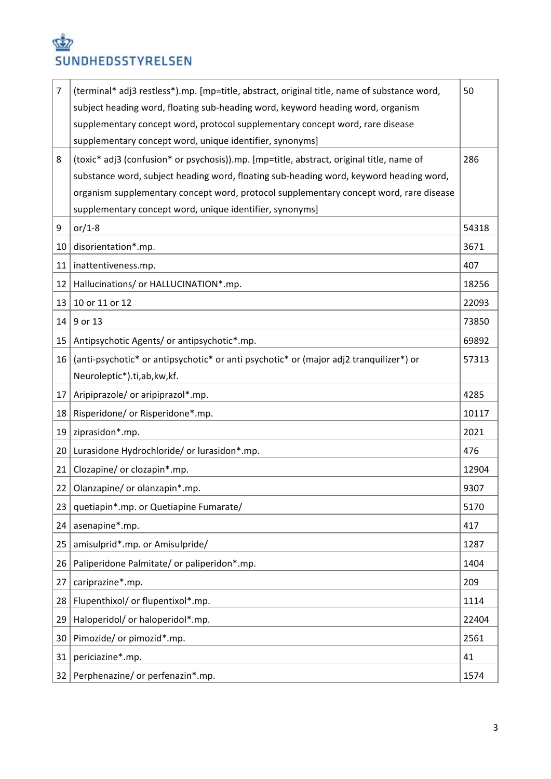# **SEP** SUNDHEDSSTYRELSEN

| $\overline{7}$ | (terminal* adj3 restless*).mp. [mp=title, abstract, original title, name of substance word, | 50    |
|----------------|---------------------------------------------------------------------------------------------|-------|
|                | subject heading word, floating sub-heading word, keyword heading word, organism             |       |
|                | supplementary concept word, protocol supplementary concept word, rare disease               |       |
|                | supplementary concept word, unique identifier, synonyms]                                    |       |
| 8              | (toxic* adj3 (confusion* or psychosis)).mp. [mp=title, abstract, original title, name of    | 286   |
|                | substance word, subject heading word, floating sub-heading word, keyword heading word,      |       |
|                | organism supplementary concept word, protocol supplementary concept word, rare disease      |       |
|                | supplementary concept word, unique identifier, synonyms]                                    |       |
| 9              | or/1-8                                                                                      | 54318 |
| 10             | disorientation*.mp.                                                                         | 3671  |
| 11             | inattentiveness.mp.                                                                         | 407   |
| 12             | Hallucinations/ or HALLUCINATION*.mp.                                                       | 18256 |
| 13             | 10 or 11 or 12                                                                              | 22093 |
| 14             | 9 or 13                                                                                     | 73850 |
| 15             | Antipsychotic Agents/ or antipsychotic*.mp.                                                 | 69892 |
| 16             | (anti-psychotic* or antipsychotic* or anti psychotic* or (major adj2 tranquilizer*) or      | 57313 |
|                | Neuroleptic*).ti,ab,kw,kf.                                                                  |       |
| 17             | Aripiprazole/ or aripiprazol*.mp.                                                           | 4285  |
| 18             | Risperidone/ or Risperidone*.mp.                                                            | 10117 |
| 19             | ziprasidon*.mp.                                                                             | 2021  |
| 20             | Lurasidone Hydrochloride/ or lurasidon*.mp.                                                 | 476   |
| 21             | Clozapine/ or clozapin*.mp.                                                                 | 12904 |
| 22             | Olanzapine/ or olanzapin*.mp.                                                               | 9307  |
| 23             | quetiapin*.mp. or Quetiapine Fumarate/                                                      | 5170  |
| 24             | asenapine*.mp.                                                                              | 417   |
| 25             | amisulprid*.mp. or Amisulpride/                                                             | 1287  |
| 26             | Paliperidone Palmitate/ or paliperidon*.mp.                                                 | 1404  |
| 27             | cariprazine*.mp.                                                                            | 209   |
| 28             | Flupenthixol/ or flupentixol*.mp.                                                           | 1114  |
| 29             | Haloperidol/ or haloperidol*.mp.                                                            | 22404 |
| 30             | Pimozide/ or pimozid*.mp.                                                                   | 2561  |
| 31             | periciazine*.mp.                                                                            | 41    |
| 32             | Perphenazine/ or perfenazin*.mp.                                                            | 1574  |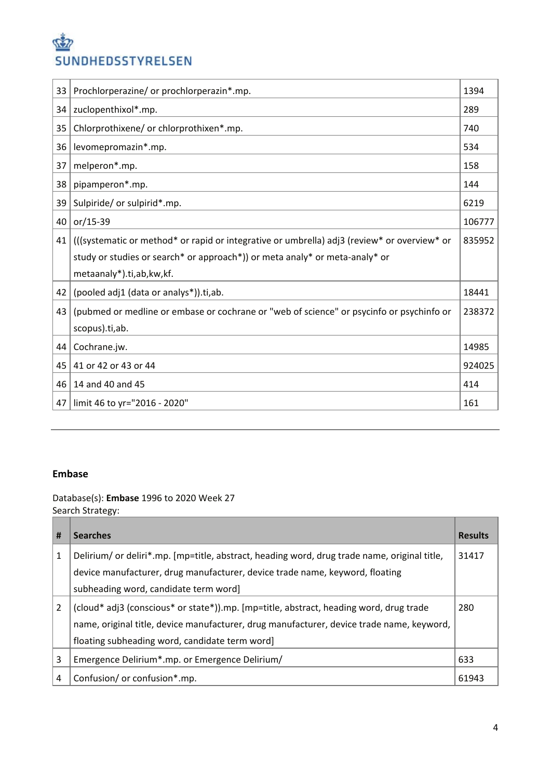# SUNDHEDSSTYRELSEN

| 33 | Prochlorperazine/ or prochlorperazin*.mp.                                                   | 1394   |
|----|---------------------------------------------------------------------------------------------|--------|
| 34 | zuclopenthixol*.mp.                                                                         | 289    |
| 35 | Chlorprothixene/ or chlorprothixen*.mp.                                                     | 740    |
| 36 | levomepromazin*.mp.                                                                         | 534    |
| 37 | melperon*.mp.                                                                               | 158    |
| 38 | pipamperon*.mp.                                                                             | 144    |
| 39 | Sulpiride/ or sulpirid*.mp.                                                                 | 6219   |
| 40 | or/15-39                                                                                    | 106777 |
| 41 | (((systematic or method* or rapid or integrative or umbrella) adj3 (review* or overview* or | 835952 |
|    | study or studies or search* or approach*)) or meta analy* or meta-analy* or                 |        |
|    | metaanaly*).ti,ab,kw,kf.                                                                    |        |
| 42 | (pooled adj1 (data or analys*)).ti,ab.                                                      | 18441  |
| 43 | (pubmed or medline or embase or cochrane or "web of science" or psycinfo or psychinfo or    | 238372 |
|    | scopus).ti,ab.                                                                              |        |
| 44 | Cochrane.jw.                                                                                | 14985  |
| 45 | 41 or 42 or 43 or 44                                                                        | 924025 |
| 46 | 14 and 40 and 45                                                                            | 414    |
| 47 | limit 46 to yr="2016 - 2020"                                                                | 161    |

#### **Embase**

Database(s): **Embase** 1996 to 2020 Week 27 Search Strategy:

| #              | <b>Searches</b>                                                                                                                                                                                                                       | <b>Results</b> |
|----------------|---------------------------------------------------------------------------------------------------------------------------------------------------------------------------------------------------------------------------------------|----------------|
| 1              | Delirium/ or deliri*.mp. [mp=title, abstract, heading word, drug trade name, original title,<br>device manufacturer, drug manufacturer, device trade name, keyword, floating<br>subheading word, candidate term word]                 | 31417          |
| 2              | (cloud* adj3 (conscious* or state*)).mp. [mp=title, abstract, heading word, drug trade<br>name, original title, device manufacturer, drug manufacturer, device trade name, keyword,<br>floating subheading word, candidate term word] | 280            |
| 3              | Emergence Delirium*.mp. or Emergence Delirium/                                                                                                                                                                                        | 633            |
| $\overline{4}$ | Confusion/ or confusion*.mp.                                                                                                                                                                                                          | 61943          |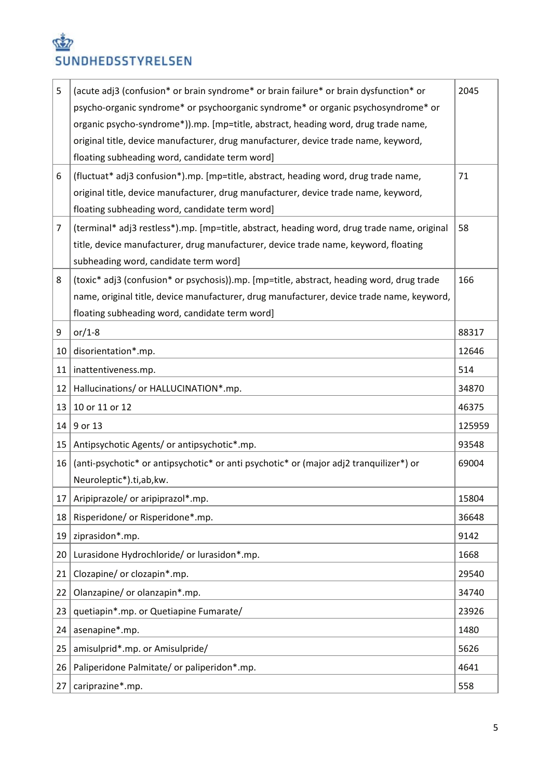# S SUNDHEDSSTYRELSEN

| 5  | (acute adj3 (confusion* or brain syndrome* or brain failure* or brain dysfunction* or<br>psycho-organic syndrome* or psychoorganic syndrome* or organic psychosyndrome* or<br>organic psycho-syndrome*)).mp. [mp=title, abstract, heading word, drug trade name, | 2045   |
|----|------------------------------------------------------------------------------------------------------------------------------------------------------------------------------------------------------------------------------------------------------------------|--------|
|    | original title, device manufacturer, drug manufacturer, device trade name, keyword,<br>floating subheading word, candidate term word]                                                                                                                            |        |
| 6  | (fluctuat* adj3 confusion*).mp. [mp=title, abstract, heading word, drug trade name,<br>original title, device manufacturer, drug manufacturer, device trade name, keyword,<br>floating subheading word, candidate term word]                                     | 71     |
| 7  | (terminal* adj3 restless*).mp. [mp=title, abstract, heading word, drug trade name, original<br>title, device manufacturer, drug manufacturer, device trade name, keyword, floating<br>subheading word, candidate term word]                                      | 58     |
| 8  | (toxic* adj3 (confusion* or psychosis)).mp. [mp=title, abstract, heading word, drug trade<br>name, original title, device manufacturer, drug manufacturer, device trade name, keyword,<br>floating subheading word, candidate term word]                         | 166    |
| 9  | or/1-8                                                                                                                                                                                                                                                           | 88317  |
| 10 | disorientation*.mp.                                                                                                                                                                                                                                              | 12646  |
| 11 | inattentiveness.mp.                                                                                                                                                                                                                                              | 514    |
| 12 | Hallucinations/ or HALLUCINATION*.mp.                                                                                                                                                                                                                            | 34870  |
| 13 | 10 or 11 or 12                                                                                                                                                                                                                                                   | 46375  |
| 14 | 9 or 13                                                                                                                                                                                                                                                          | 125959 |
| 15 | Antipsychotic Agents/ or antipsychotic*.mp.                                                                                                                                                                                                                      | 93548  |
| 16 | (anti-psychotic* or antipsychotic* or anti psychotic* or (major adj2 tranquilizer*) or<br>Neuroleptic*).ti,ab,kw.                                                                                                                                                | 69004  |
| 17 | Aripiprazole/ or aripiprazol*.mp.                                                                                                                                                                                                                                | 15804  |
| 18 | Risperidone/ or Risperidone*.mp.                                                                                                                                                                                                                                 | 36648  |
| 19 | ziprasidon*.mp.                                                                                                                                                                                                                                                  | 9142   |
| 20 | Lurasidone Hydrochloride/ or lurasidon*.mp.                                                                                                                                                                                                                      | 1668   |
| 21 | Clozapine/ or clozapin*.mp.                                                                                                                                                                                                                                      | 29540  |
| 22 | Olanzapine/ or olanzapin*.mp.                                                                                                                                                                                                                                    | 34740  |
| 23 | quetiapin*.mp. or Quetiapine Fumarate/                                                                                                                                                                                                                           | 23926  |
| 24 | asenapine*.mp.                                                                                                                                                                                                                                                   | 1480   |
| 25 | amisulprid*.mp. or Amisulpride/                                                                                                                                                                                                                                  | 5626   |
| 26 | Paliperidone Palmitate/ or paliperidon*.mp.                                                                                                                                                                                                                      | 4641   |
| 27 | cariprazine*.mp.                                                                                                                                                                                                                                                 | 558    |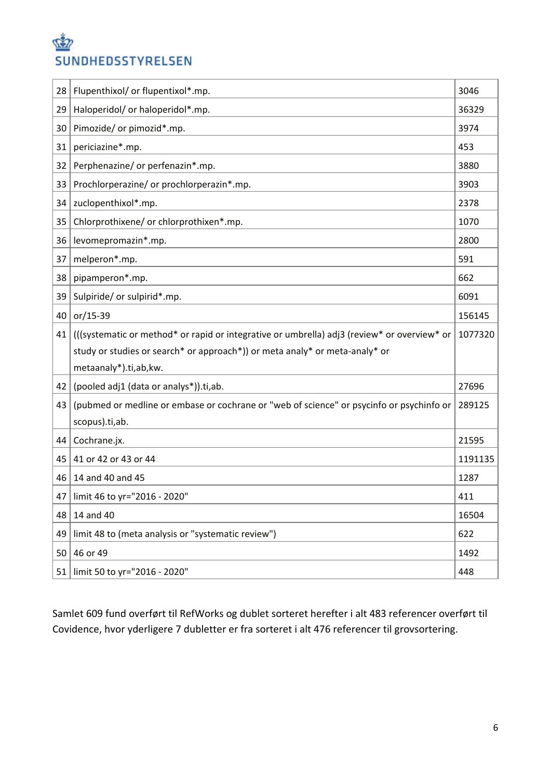# SUNDHEDSSTYRELSEN

| 28 | Flupenthixol/ or flupentixol*.mp.                                                           | 3046    |
|----|---------------------------------------------------------------------------------------------|---------|
| 29 | Haloperidol/ or haloperidol*.mp.                                                            | 36329   |
| 30 | Pimozide/ or pimozid*.mp.                                                                   | 3974    |
| 31 | periciazine*.mp.                                                                            | 453     |
| 32 | Perphenazine/ or perfenazin*.mp.                                                            | 3880    |
| 33 | Prochlorperazine/ or prochlorperazin*.mp.                                                   | 3903    |
| 34 | zuclopenthixol*.mp.                                                                         | 2378    |
| 35 | Chlorprothixene/ or chlorprothixen*.mp.                                                     | 1070    |
| 36 | levomepromazin*.mp.                                                                         | 2800    |
| 37 | melperon*.mp.                                                                               | 591     |
| 38 | pipamperon*.mp.                                                                             | 662     |
| 39 | Sulpiride/ or sulpirid*.mp.                                                                 | 6091    |
| 40 | or/15-39                                                                                    | 156145  |
| 41 | (((systematic or method* or rapid or integrative or umbrella) adj3 (review* or overview* or | 1077320 |
|    | study or studies or search* or approach*)) or meta analy* or meta-analy* or                 |         |
|    | metaanaly*).ti,ab,kw.                                                                       |         |
| 42 | (pooled adj1 (data or analys*)).ti,ab.                                                      | 27696   |
| 43 | (pubmed or medline or embase or cochrane or "web of science" or psycinfo or psychinfo or    | 289125  |
|    | scopus).ti,ab.                                                                              |         |
| 44 | Cochrane.jx.                                                                                | 21595   |
| 45 | 41 or 42 or 43 or 44                                                                        | 1191135 |
| 46 | 14 and 40 and 45                                                                            | 1287    |
| 47 | limit 46 to yr="2016 - 2020"                                                                | 411     |
| 48 | 14 and 40                                                                                   | 16504   |
| 49 | limit 48 to (meta analysis or "systematic review")                                          | 622     |
| 50 | 46 or 49                                                                                    | 1492    |
| 51 | limit 50 to yr="2016 - 2020"                                                                | 448     |

Samlet 609 fund overført til RefWorks og dublet sorteret herefter i alt 483 referencer overført til Covidence, hvor yderligere 7 dubletter er fra sorteret i alt 476 referencer til grovsortering.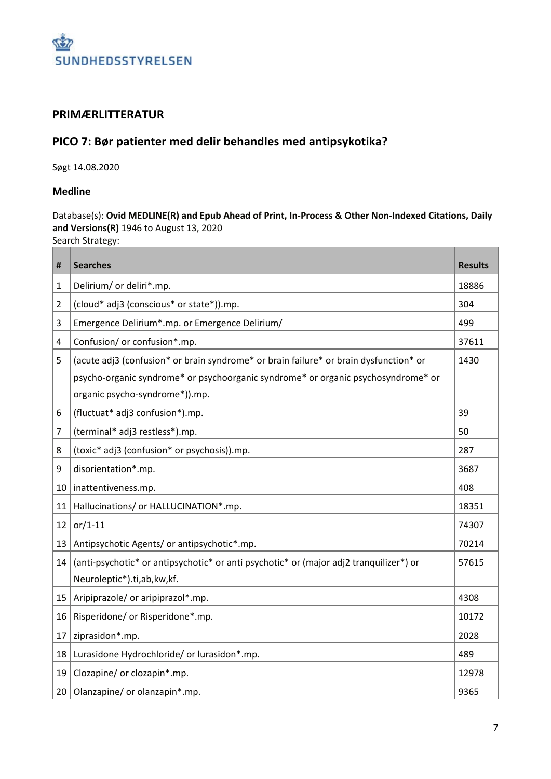

#### **PRIMÆRLITTERATUR**

### **PICO 7: Bør patienter med delir behandles med antipsykotika?**

Søgt 14.08.2020

#### **Medline**

Database(s): **Ovid MEDLINE(R) and Epub Ahead of Print, In-Process & Other Non-Indexed Citations, Daily and Versions(R)** 1946 to August 13, 2020

Search Strategy:

| #               | <b>Searches</b>                                                                        | <b>Results</b> |
|-----------------|----------------------------------------------------------------------------------------|----------------|
| 1               | Delirium/ or deliri*.mp.                                                               | 18886          |
| $\overline{2}$  | (cloud* adj3 (conscious* or state*)).mp.                                               | 304            |
| 3               | Emergence Delirium*.mp. or Emergence Delirium/                                         | 499            |
| 4               | Confusion/ or confusion*.mp.                                                           | 37611          |
| 5               | (acute adj3 (confusion* or brain syndrome* or brain failure* or brain dysfunction* or  | 1430           |
|                 | psycho-organic syndrome* or psychoorganic syndrome* or organic psychosyndrome* or      |                |
|                 | organic psycho-syndrome*)).mp.                                                         |                |
| 6               | (fluctuat* adj3 confusion*).mp.                                                        | 39             |
| $\overline{7}$  | (terminal* adj3 restless*).mp.                                                         | 50             |
| 8               | (toxic* adj3 (confusion* or psychosis)).mp.                                            | 287            |
| 9               | disorientation*.mp.                                                                    | 3687           |
| 10 <sup>1</sup> | inattentiveness.mp.                                                                    | 408            |
| 11              | Hallucinations/ or HALLUCINATION*.mp.                                                  | 18351          |
| 12              | $or/1-11$                                                                              | 74307          |
| 13              | Antipsychotic Agents/ or antipsychotic*.mp.                                            | 70214          |
| 14              | (anti-psychotic* or antipsychotic* or anti psychotic* or (major adj2 tranquilizer*) or | 57615          |
|                 | Neuroleptic*).ti,ab,kw,kf.                                                             |                |
| 15              | Aripiprazole/ or aripiprazol*.mp.                                                      | 4308           |
| 16              | Risperidone/ or Risperidone*.mp.                                                       | 10172          |
| 17              | ziprasidon*.mp.                                                                        | 2028           |
| 18              | Lurasidone Hydrochloride/ or lurasidon*.mp.                                            | 489            |
| 19              | Clozapine/ or clozapin*.mp.                                                            | 12978          |
| 20              | Olanzapine/ or olanzapin*.mp.                                                          | 9365           |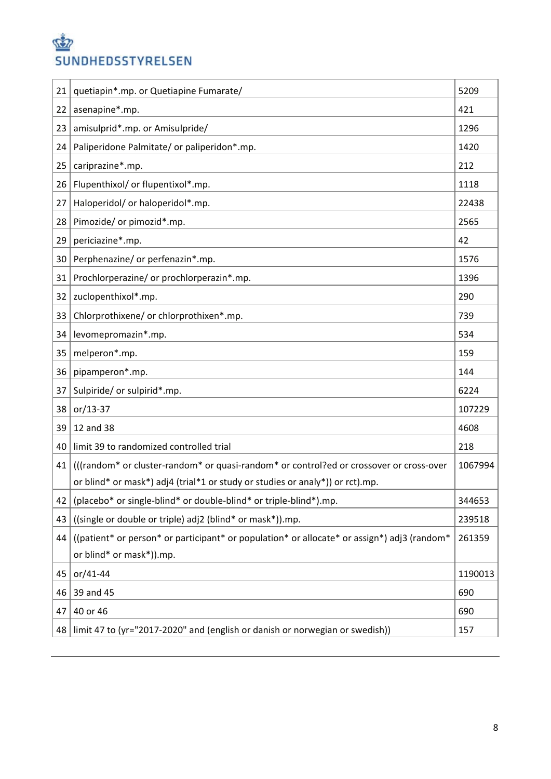## S SUNDHEDSSTYRELSEN

| 21 | quetiapin*.mp. or Quetiapine Fumarate/                                                      | 5209    |
|----|---------------------------------------------------------------------------------------------|---------|
| 22 | asenapine*.mp.                                                                              | 421     |
| 23 | amisulprid*.mp. or Amisulpride/                                                             | 1296    |
| 24 | Paliperidone Palmitate/ or paliperidon*.mp.                                                 | 1420    |
| 25 | cariprazine*.mp.                                                                            | 212     |
| 26 | Flupenthixol/ or flupentixol*.mp.                                                           | 1118    |
| 27 | Haloperidol/ or haloperidol*.mp.                                                            | 22438   |
| 28 | Pimozide/ or pimozid*.mp.                                                                   | 2565    |
| 29 | periciazine*.mp.                                                                            | 42      |
| 30 | Perphenazine/ or perfenazin*.mp.                                                            | 1576    |
| 31 | Prochlorperazine/ or prochlorperazin*.mp.                                                   | 1396    |
| 32 | zuclopenthixol*.mp.                                                                         | 290     |
| 33 | Chlorprothixene/ or chlorprothixen*.mp.                                                     | 739     |
| 34 | levomepromazin*.mp.                                                                         | 534     |
| 35 | melperon*.mp.                                                                               | 159     |
| 36 | pipamperon*.mp.                                                                             | 144     |
| 37 | Sulpiride/ or sulpirid*.mp.                                                                 | 6224    |
| 38 | or/13-37                                                                                    | 107229  |
| 39 | 12 and 38                                                                                   | 4608    |
| 40 | limit 39 to randomized controlled trial                                                     | 218     |
| 41 | (((random* or cluster-random* or quasi-random* or control?ed or crossover or cross-over     | 1067994 |
|    | or blind* or mask*) adj4 (trial*1 or study or studies or analy*)) or rct).mp.               |         |
| 42 | (placebo* or single-blind* or double-blind* or triple-blind*).mp.                           | 344653  |
| 43 | ((single or double or triple) adj2 (blind* or mask*)).mp.                                   | 239518  |
| 44 | ((patient* or person* or participant* or population* or allocate* or assign*) adj3 (random* | 261359  |
|    | or blind* or mask*)).mp.                                                                    |         |
| 45 | or/41-44                                                                                    | 1190013 |
| 46 | 39 and 45                                                                                   | 690     |
| 47 | 40 or 46                                                                                    | 690     |
| 48 | limit 47 to (yr="2017-2020" and (english or danish or norwegian or swedish))                | 157     |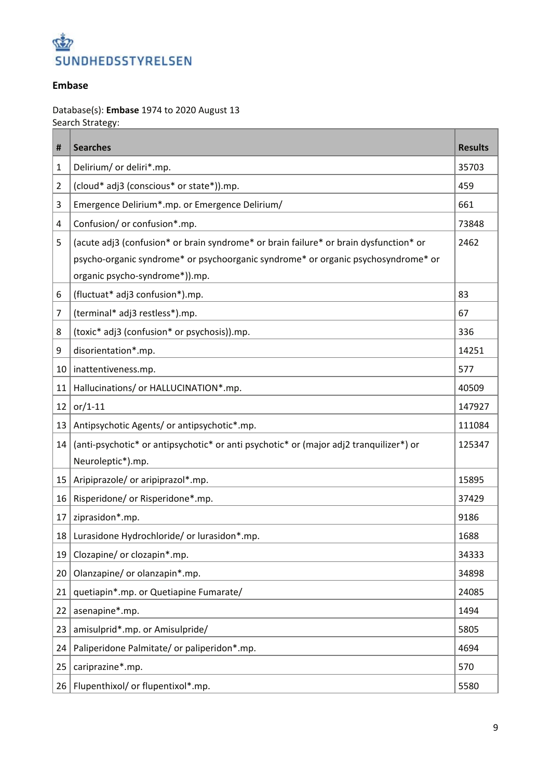

#### **Embase**

Database(s): **Embase** 1974 to 2020 August 13 Search Strategy:

| #  | <b>Searches</b>                                                                        | <b>Results</b> |
|----|----------------------------------------------------------------------------------------|----------------|
| 1  | Delirium/ or deliri*.mp.                                                               | 35703          |
| 2  | (cloud* adj3 (conscious* or state*)).mp.                                               | 459            |
| 3  | Emergence Delirium*.mp. or Emergence Delirium/                                         | 661            |
| 4  | Confusion/ or confusion*.mp.                                                           | 73848          |
| 5  | (acute adj3 (confusion* or brain syndrome* or brain failure* or brain dysfunction* or  | 2462           |
|    | psycho-organic syndrome* or psychoorganic syndrome* or organic psychosyndrome* or      |                |
|    | organic psycho-syndrome*)).mp.                                                         |                |
| 6  | (fluctuat* adj3 confusion*).mp.                                                        | 83             |
| 7  | (terminal* adj3 restless*).mp.                                                         | 67             |
| 8  | (toxic* adj3 (confusion* or psychosis)).mp.                                            | 336            |
| 9  | disorientation*.mp.                                                                    | 14251          |
| 10 | inattentiveness.mp.                                                                    | 577            |
| 11 | Hallucinations/ or HALLUCINATION*.mp.                                                  | 40509          |
| 12 | $or/1-11$                                                                              | 147927         |
| 13 | Antipsychotic Agents/ or antipsychotic*.mp.                                            | 111084         |
| 14 | (anti-psychotic* or antipsychotic* or anti psychotic* or (major adj2 tranquilizer*) or | 125347         |
|    | Neuroleptic*).mp.                                                                      |                |
| 15 | Aripiprazole/ or aripiprazol*.mp.                                                      | 15895          |
| 16 | Risperidone/ or Risperidone*.mp.                                                       | 37429          |
| 17 | ziprasidon*.mp.                                                                        | 9186           |
| 18 | Lurasidone Hydrochloride/ or lurasidon*.mp.                                            | 1688           |
| 19 | Clozapine/ or clozapin*.mp.                                                            | 34333          |
| 20 | Olanzapine/ or olanzapin*.mp.                                                          | 34898          |
| 21 | quetiapin*.mp. or Quetiapine Fumarate/                                                 | 24085          |
| 22 | asenapine*.mp.                                                                         | 1494           |
| 23 | amisulprid*.mp. or Amisulpride/                                                        | 5805           |
| 24 | Paliperidone Palmitate/ or paliperidon*.mp.                                            | 4694           |
| 25 | cariprazine*.mp.                                                                       | 570            |
| 26 | Flupenthixol/ or flupentixol*.mp.                                                      | 5580           |